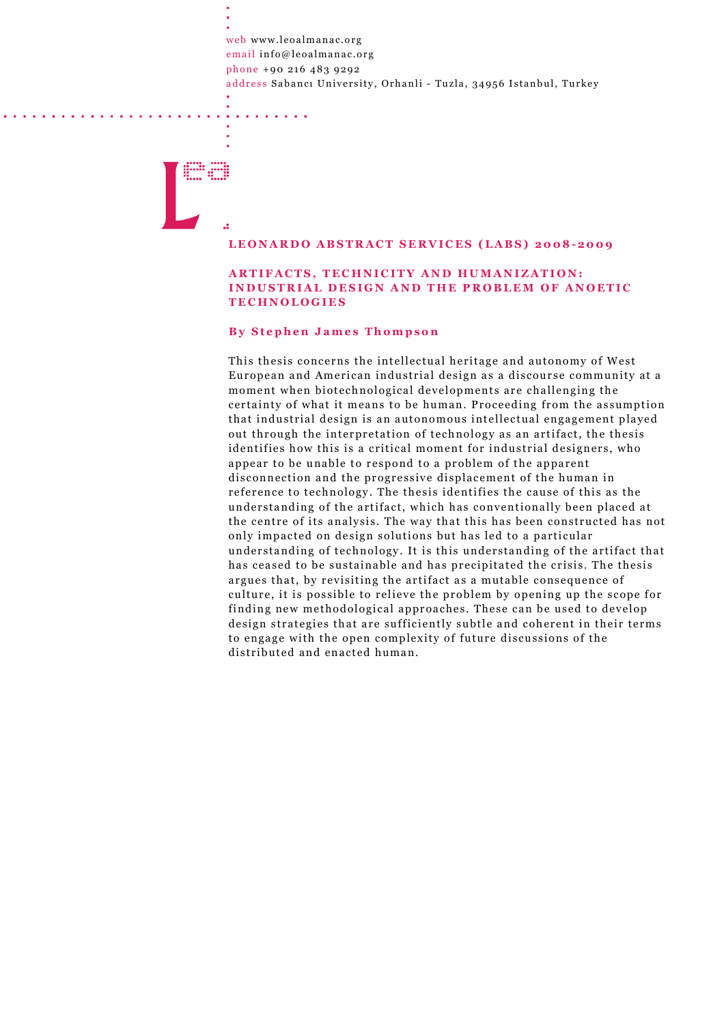web www.leoalmanac.org email info@leoalmanac.org phone +90 216 483 9292 address Sabancı University, Orhanli - Tuzla, 34956 Istanbul, Turkey

# m, pi

#### LEONARDO ABSTRACT SERVICES (LABS) 2008-2009

## ARTIFACTS, TECHNICITY AND HUMANIZATION: INDUSTRIAL DESIGN AND THE PROBLEM OF ANOETIC **TECHNOLOGIES**

### **By Stephen James Thompson**

This thesis concerns the intellectual heritage and autonomy of West European and American industrial design as a discourse community at a moment when biotechnological developments are challenging the certainty of what it means to be human. Proceeding from the assumption that industrial design is an autonomous intellectual engagement played out through the interpretation of technology as an artifact, the thesis identifies how this is a critical moment for industrial designers, who appear to be unable to respond to a problem of the apparent disconnection and the progressive displacement of the human in reference to technology. The thesis identifies the cause of this as the understanding of the artifact, which has conventionally been placed at the centre of its analysis. The way that this has been constructed has not only impacted on design solutions but has led to a particular understanding of technology. It is this understanding of the artifact that has ceased to be sustainable and has precipitated the crisis. The thesis argues that, by revisiting the artifact as a mutable consequence of culture, it is possible to relieve the problem by opening up the scope for finding new methodological approaches. These can be used to develop design strategies that are sufficiently subtle and coherent in their terms to engage with the open complexity of future discussions of the distributed and enacted human.